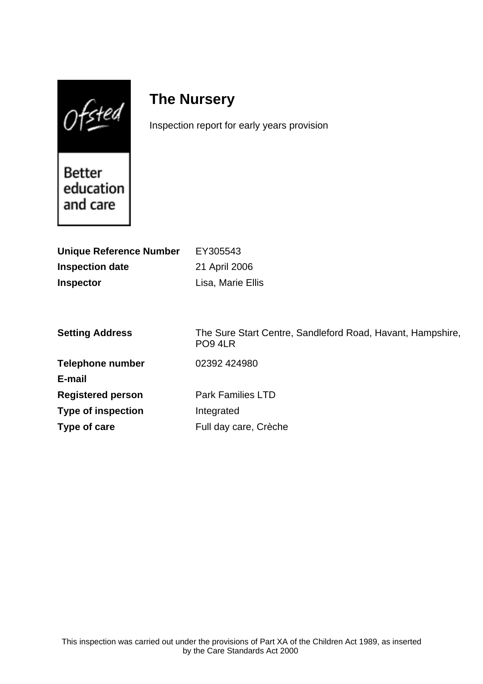$0$ fsted

# **The Nursery**

Inspection report for early years provision

Better education and care

| <b>Unique Reference Number</b> | EY305543                                                              |
|--------------------------------|-----------------------------------------------------------------------|
| <b>Inspection date</b>         | 21 April 2006                                                         |
| <b>Inspector</b>               | Lisa, Marie Ellis                                                     |
|                                |                                                                       |
|                                |                                                                       |
| <b>Setting Address</b>         | The Sure Start Centre, Sandleford Road, Havant, Hampshire,<br>PO9 4LR |
| <b>Telephone number</b>        | 02392 424980                                                          |
| E-mail                         |                                                                       |
| <b>Registered person</b>       | <b>Park Families LTD</b>                                              |
| <b>Type of inspection</b>      | Integrated                                                            |
| Type of care                   | Full day care, Crèche                                                 |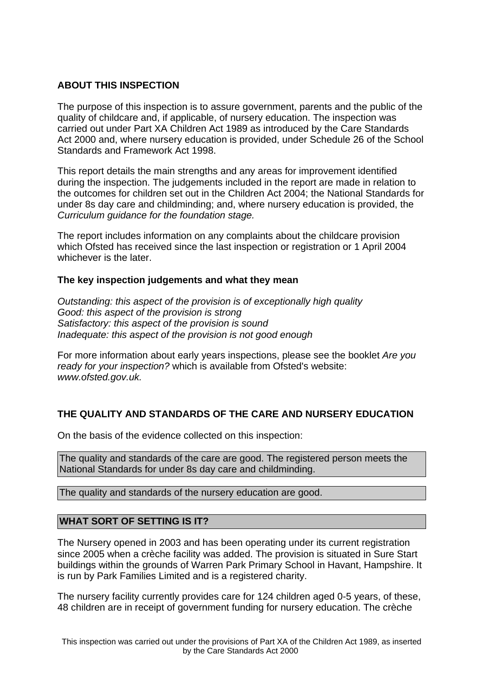## **ABOUT THIS INSPECTION**

The purpose of this inspection is to assure government, parents and the public of the quality of childcare and, if applicable, of nursery education. The inspection was carried out under Part XA Children Act 1989 as introduced by the Care Standards Act 2000 and, where nursery education is provided, under Schedule 26 of the School Standards and Framework Act 1998.

This report details the main strengths and any areas for improvement identified during the inspection. The judgements included in the report are made in relation to the outcomes for children set out in the Children Act 2004; the National Standards for under 8s day care and childminding; and, where nursery education is provided, the Curriculum guidance for the foundation stage.

The report includes information on any complaints about the childcare provision which Ofsted has received since the last inspection or registration or 1 April 2004 whichever is the later.

#### **The key inspection judgements and what they mean**

Outstanding: this aspect of the provision is of exceptionally high quality Good: this aspect of the provision is strong Satisfactory: this aspect of the provision is sound Inadequate: this aspect of the provision is not good enough

For more information about early years inspections, please see the booklet Are you ready for your inspection? which is available from Ofsted's website: www.ofsted.gov.uk.

## **THE QUALITY AND STANDARDS OF THE CARE AND NURSERY EDUCATION**

On the basis of the evidence collected on this inspection:

The quality and standards of the care are good. The registered person meets the National Standards for under 8s day care and childminding.

The quality and standards of the nursery education are good.

#### **WHAT SORT OF SETTING IS IT?**

The Nursery opened in 2003 and has been operating under its current registration since 2005 when a crèche facility was added. The provision is situated in Sure Start buildings within the grounds of Warren Park Primary School in Havant, Hampshire. It is run by Park Families Limited and is a registered charity.

The nursery facility currently provides care for 124 children aged 0-5 years, of these, 48 children are in receipt of government funding for nursery education. The crèche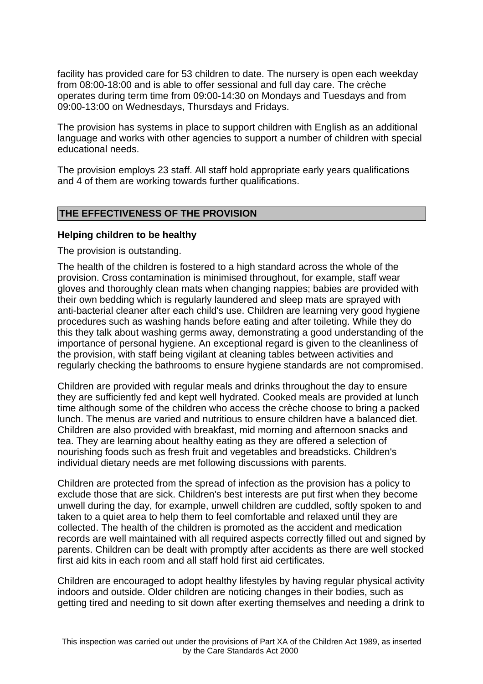facility has provided care for 53 children to date. The nursery is open each weekday from 08:00-18:00 and is able to offer sessional and full day care. The crèche operates during term time from 09:00-14:30 on Mondays and Tuesdays and from 09:00-13:00 on Wednesdays, Thursdays and Fridays.

The provision has systems in place to support children with English as an additional language and works with other agencies to support a number of children with special educational needs.

The provision employs 23 staff. All staff hold appropriate early years qualifications and 4 of them are working towards further qualifications.

#### **THE EFFECTIVENESS OF THE PROVISION**

#### **Helping children to be healthy**

The provision is outstanding.

The health of the children is fostered to a high standard across the whole of the provision. Cross contamination is minimised throughout, for example, staff wear gloves and thoroughly clean mats when changing nappies; babies are provided with their own bedding which is regularly laundered and sleep mats are sprayed with anti-bacterial cleaner after each child's use. Children are learning very good hygiene procedures such as washing hands before eating and after toileting. While they do this they talk about washing germs away, demonstrating a good understanding of the importance of personal hygiene. An exceptional regard is given to the cleanliness of the provision, with staff being vigilant at cleaning tables between activities and regularly checking the bathrooms to ensure hygiene standards are not compromised.

Children are provided with regular meals and drinks throughout the day to ensure they are sufficiently fed and kept well hydrated. Cooked meals are provided at lunch time although some of the children who access the crèche choose to bring a packed lunch. The menus are varied and nutritious to ensure children have a balanced diet. Children are also provided with breakfast, mid morning and afternoon snacks and tea. They are learning about healthy eating as they are offered a selection of nourishing foods such as fresh fruit and vegetables and breadsticks. Children's individual dietary needs are met following discussions with parents.

Children are protected from the spread of infection as the provision has a policy to exclude those that are sick. Children's best interests are put first when they become unwell during the day, for example, unwell children are cuddled, softly spoken to and taken to a quiet area to help them to feel comfortable and relaxed until they are collected. The health of the children is promoted as the accident and medication records are well maintained with all required aspects correctly filled out and signed by parents. Children can be dealt with promptly after accidents as there are well stocked first aid kits in each room and all staff hold first aid certificates.

Children are encouraged to adopt healthy lifestyles by having regular physical activity indoors and outside. Older children are noticing changes in their bodies, such as getting tired and needing to sit down after exerting themselves and needing a drink to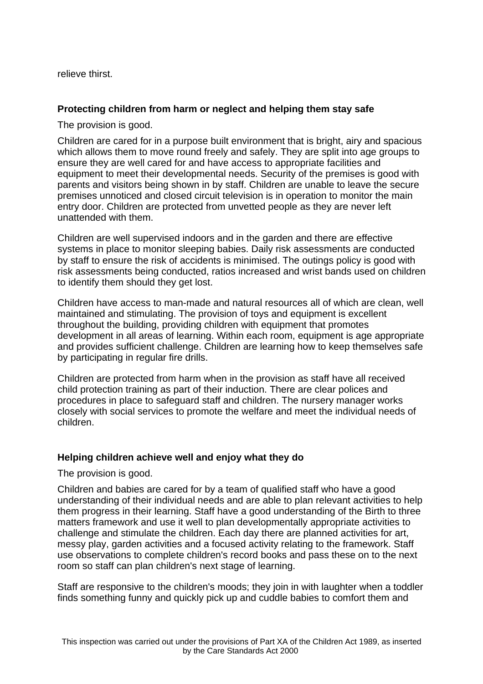relieve thirst.

## **Protecting children from harm or neglect and helping them stay safe**

The provision is good.

Children are cared for in a purpose built environment that is bright, airy and spacious which allows them to move round freely and safely. They are split into age groups to ensure they are well cared for and have access to appropriate facilities and equipment to meet their developmental needs. Security of the premises is good with parents and visitors being shown in by staff. Children are unable to leave the secure premises unnoticed and closed circuit television is in operation to monitor the main entry door. Children are protected from unvetted people as they are never left unattended with them.

Children are well supervised indoors and in the garden and there are effective systems in place to monitor sleeping babies. Daily risk assessments are conducted by staff to ensure the risk of accidents is minimised. The outings policy is good with risk assessments being conducted, ratios increased and wrist bands used on children to identify them should they get lost.

Children have access to man-made and natural resources all of which are clean, well maintained and stimulating. The provision of toys and equipment is excellent throughout the building, providing children with equipment that promotes development in all areas of learning. Within each room, equipment is age appropriate and provides sufficient challenge. Children are learning how to keep themselves safe by participating in regular fire drills.

Children are protected from harm when in the provision as staff have all received child protection training as part of their induction. There are clear polices and procedures in place to safeguard staff and children. The nursery manager works closely with social services to promote the welfare and meet the individual needs of children.

#### **Helping children achieve well and enjoy what they do**

The provision is good.

Children and babies are cared for by a team of qualified staff who have a good understanding of their individual needs and are able to plan relevant activities to help them progress in their learning. Staff have a good understanding of the Birth to three matters framework and use it well to plan developmentally appropriate activities to challenge and stimulate the children. Each day there are planned activities for art, messy play, garden activities and a focused activity relating to the framework. Staff use observations to complete children's record books and pass these on to the next room so staff can plan children's next stage of learning.

Staff are responsive to the children's moods; they join in with laughter when a toddler finds something funny and quickly pick up and cuddle babies to comfort them and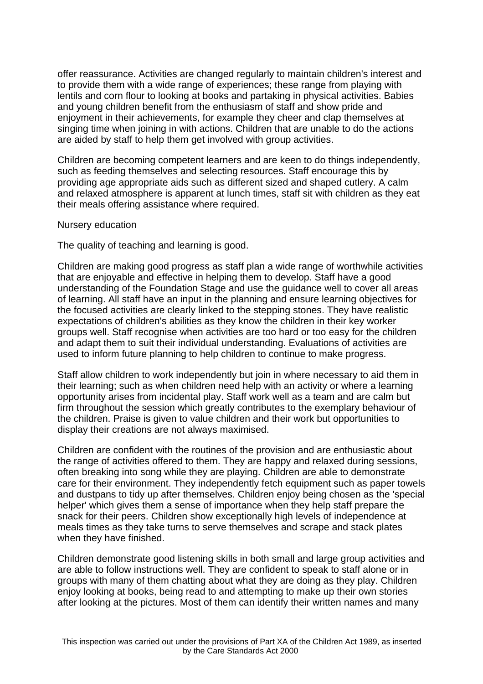offer reassurance. Activities are changed regularly to maintain children's interest and to provide them with a wide range of experiences; these range from playing with lentils and corn flour to looking at books and partaking in physical activities. Babies and young children benefit from the enthusiasm of staff and show pride and enjoyment in their achievements, for example they cheer and clap themselves at singing time when joining in with actions. Children that are unable to do the actions are aided by staff to help them get involved with group activities.

Children are becoming competent learners and are keen to do things independently, such as feeding themselves and selecting resources. Staff encourage this by providing age appropriate aids such as different sized and shaped cutlery. A calm and relaxed atmosphere is apparent at lunch times, staff sit with children as they eat their meals offering assistance where required.

Nursery education

The quality of teaching and learning is good.

Children are making good progress as staff plan a wide range of worthwhile activities that are enjoyable and effective in helping them to develop. Staff have a good understanding of the Foundation Stage and use the guidance well to cover all areas of learning. All staff have an input in the planning and ensure learning objectives for the focused activities are clearly linked to the stepping stones. They have realistic expectations of children's abilities as they know the children in their key worker groups well. Staff recognise when activities are too hard or too easy for the children and adapt them to suit their individual understanding. Evaluations of activities are used to inform future planning to help children to continue to make progress.

Staff allow children to work independently but join in where necessary to aid them in their learning; such as when children need help with an activity or where a learning opportunity arises from incidental play. Staff work well as a team and are calm but firm throughout the session which greatly contributes to the exemplary behaviour of the children. Praise is given to value children and their work but opportunities to display their creations are not always maximised.

Children are confident with the routines of the provision and are enthusiastic about the range of activities offered to them. They are happy and relaxed during sessions, often breaking into song while they are playing. Children are able to demonstrate care for their environment. They independently fetch equipment such as paper towels and dustpans to tidy up after themselves. Children enjoy being chosen as the 'special helper' which gives them a sense of importance when they help staff prepare the snack for their peers. Children show exceptionally high levels of independence at meals times as they take turns to serve themselves and scrape and stack plates when they have finished.

Children demonstrate good listening skills in both small and large group activities and are able to follow instructions well. They are confident to speak to staff alone or in groups with many of them chatting about what they are doing as they play. Children enjoy looking at books, being read to and attempting to make up their own stories after looking at the pictures. Most of them can identify their written names and many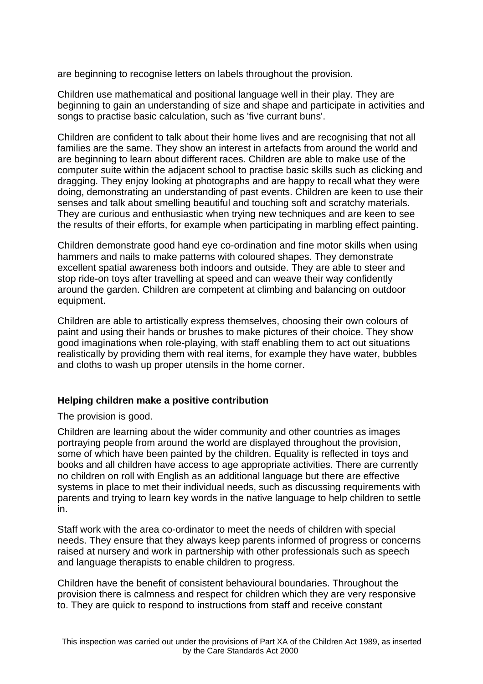are beginning to recognise letters on labels throughout the provision.

Children use mathematical and positional language well in their play. They are beginning to gain an understanding of size and shape and participate in activities and songs to practise basic calculation, such as 'five currant buns'.

Children are confident to talk about their home lives and are recognising that not all families are the same. They show an interest in artefacts from around the world and are beginning to learn about different races. Children are able to make use of the computer suite within the adjacent school to practise basic skills such as clicking and dragging. They enjoy looking at photographs and are happy to recall what they were doing, demonstrating an understanding of past events. Children are keen to use their senses and talk about smelling beautiful and touching soft and scratchy materials. They are curious and enthusiastic when trying new techniques and are keen to see the results of their efforts, for example when participating in marbling effect painting.

Children demonstrate good hand eye co-ordination and fine motor skills when using hammers and nails to make patterns with coloured shapes. They demonstrate excellent spatial awareness both indoors and outside. They are able to steer and stop ride-on toys after travelling at speed and can weave their way confidently around the garden. Children are competent at climbing and balancing on outdoor equipment.

Children are able to artistically express themselves, choosing their own colours of paint and using their hands or brushes to make pictures of their choice. They show good imaginations when role-playing, with staff enabling them to act out situations realistically by providing them with real items, for example they have water, bubbles and cloths to wash up proper utensils in the home corner.

#### **Helping children make a positive contribution**

The provision is good.

Children are learning about the wider community and other countries as images portraying people from around the world are displayed throughout the provision, some of which have been painted by the children. Equality is reflected in toys and books and all children have access to age appropriate activities. There are currently no children on roll with English as an additional language but there are effective systems in place to met their individual needs, such as discussing requirements with parents and trying to learn key words in the native language to help children to settle in.

Staff work with the area co-ordinator to meet the needs of children with special needs. They ensure that they always keep parents informed of progress or concerns raised at nursery and work in partnership with other professionals such as speech and language therapists to enable children to progress.

Children have the benefit of consistent behavioural boundaries. Throughout the provision there is calmness and respect for children which they are very responsive to. They are quick to respond to instructions from staff and receive constant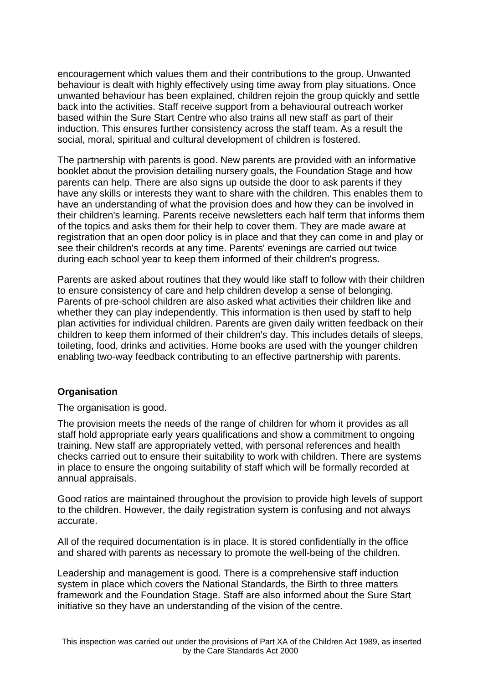encouragement which values them and their contributions to the group. Unwanted behaviour is dealt with highly effectively using time away from play situations. Once unwanted behaviour has been explained, children rejoin the group quickly and settle back into the activities. Staff receive support from a behavioural outreach worker based within the Sure Start Centre who also trains all new staff as part of their induction. This ensures further consistency across the staff team. As a result the social, moral, spiritual and cultural development of children is fostered.

The partnership with parents is good. New parents are provided with an informative booklet about the provision detailing nursery goals, the Foundation Stage and how parents can help. There are also signs up outside the door to ask parents if they have any skills or interests they want to share with the children. This enables them to have an understanding of what the provision does and how they can be involved in their children's learning. Parents receive newsletters each half term that informs them of the topics and asks them for their help to cover them. They are made aware at registration that an open door policy is in place and that they can come in and play or see their children's records at any time. Parents' evenings are carried out twice during each school year to keep them informed of their children's progress.

Parents are asked about routines that they would like staff to follow with their children to ensure consistency of care and help children develop a sense of belonging. Parents of pre-school children are also asked what activities their children like and whether they can play independently. This information is then used by staff to help plan activities for individual children. Parents are given daily written feedback on their children to keep them informed of their children's day. This includes details of sleeps, toileting, food, drinks and activities. Home books are used with the younger children enabling two-way feedback contributing to an effective partnership with parents.

#### **Organisation**

The organisation is good.

The provision meets the needs of the range of children for whom it provides as all staff hold appropriate early years qualifications and show a commitment to ongoing training. New staff are appropriately vetted, with personal references and health checks carried out to ensure their suitability to work with children. There are systems in place to ensure the ongoing suitability of staff which will be formally recorded at annual appraisals.

Good ratios are maintained throughout the provision to provide high levels of support to the children. However, the daily registration system is confusing and not always accurate.

All of the required documentation is in place. It is stored confidentially in the office and shared with parents as necessary to promote the well-being of the children.

Leadership and management is good. There is a comprehensive staff induction system in place which covers the National Standards, the Birth to three matters framework and the Foundation Stage. Staff are also informed about the Sure Start initiative so they have an understanding of the vision of the centre.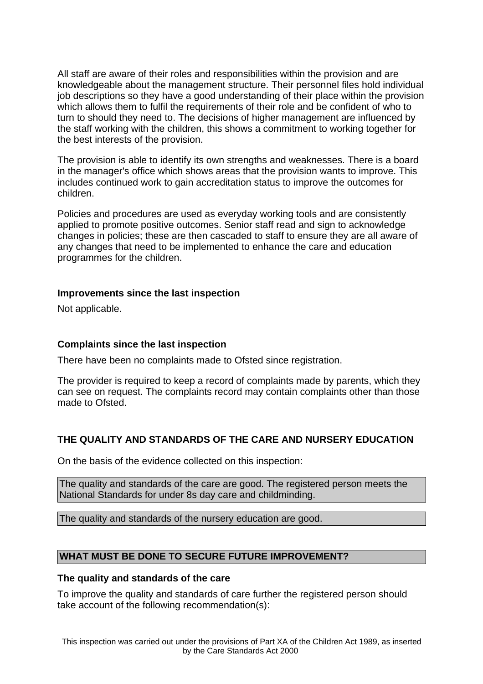All staff are aware of their roles and responsibilities within the provision and are knowledgeable about the management structure. Their personnel files hold individual job descriptions so they have a good understanding of their place within the provision which allows them to fulfil the requirements of their role and be confident of who to turn to should they need to. The decisions of higher management are influenced by the staff working with the children, this shows a commitment to working together for the best interests of the provision.

The provision is able to identify its own strengths and weaknesses. There is a board in the manager's office which shows areas that the provision wants to improve. This includes continued work to gain accreditation status to improve the outcomes for children.

Policies and procedures are used as everyday working tools and are consistently applied to promote positive outcomes. Senior staff read and sign to acknowledge changes in policies; these are then cascaded to staff to ensure they are all aware of any changes that need to be implemented to enhance the care and education programmes for the children.

#### **Improvements since the last inspection**

Not applicable.

#### **Complaints since the last inspection**

There have been no complaints made to Ofsted since registration.

The provider is required to keep a record of complaints made by parents, which they can see on request. The complaints record may contain complaints other than those made to Ofsted.

#### **THE QUALITY AND STANDARDS OF THE CARE AND NURSERY EDUCATION**

On the basis of the evidence collected on this inspection:

The quality and standards of the care are good. The registered person meets the National Standards for under 8s day care and childminding.

The quality and standards of the nursery education are good.

### **WHAT MUST BE DONE TO SECURE FUTURE IMPROVEMENT?**

#### **The quality and standards of the care**

To improve the quality and standards of care further the registered person should take account of the following recommendation(s):